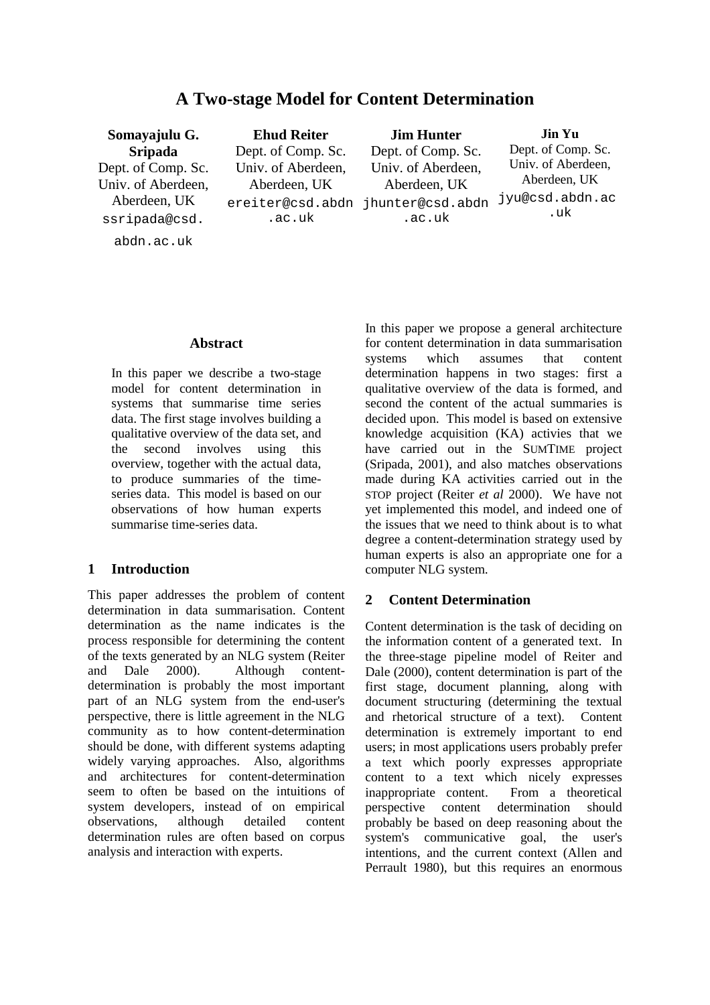# **A Two-stage Model for Content Determination**

**Somayajulu G. Sripada** Dept. of Comp. Sc. Univ. of Aberdeen, Aberdeen, UK ssripada@csd. abdn.ac.uk **Ehud Reiter** Dept. of Comp. Sc. Univ. of Aberdeen, Aberdeen, UK ereiter@csd.abdn jhunter@csd.abdn .ac.uk **Jim Hunter** Dept. of Comp. Sc. Univ. of Aberdeen, Aberdeen, UK .ac.uk **Jin Yu** Dept. of Comp. Sc. Univ. of Aberdeen, Aberdeen, UK jyu@csd.abdn.ac .uk

### **Abstract**

In this paper we describe a two-stage model for content determination in systems that summarise time series data. The first stage involves building a qualitative overview of the data set, and the second involves using this overview, together with the actual data, to produce summaries of the timeseries data. This model is based on our observations of how human experts summarise time-series data.

### **1 Introduction**

This paper addresses the problem of content determination in data summarisation. Content determination as the name indicates is the process responsible for determining the content of the texts generated by an NLG system (Reiter and Dale 2000). Although contentdetermination is probably the most important part of an NLG system from the end-user's perspective, there is little agreement in the NLG community as to how content-determination should be done, with different systems adapting widely varying approaches. Also, algorithms and architectures for content-determination seem to often be based on the intuitions of system developers, instead of on empirical<br>observations. although detailed content observations, although detailed content determination rules are often based on corpus analysis and interaction with experts.

In this paper we propose a general architecture for content determination in data summarisation systems which assumes that content determination happens in two stages: first a qualitative overview of the data is formed, and second the content of the actual summaries is decided upon. This model is based on extensive knowledge acquisition (KA) activies that we have carried out in the SUMTIME project (Sripada, 2001), and also matches observations made during KA activities carried out in the STOP project (Reiter *et al* 2000). We have not yet implemented this model, and indeed one of the issues that we need to think about is to what degree a content-determination strategy used by human experts is also an appropriate one for a computer NLG system.

## **2 Content Determination**

Content determination is the task of deciding on the information content of a generated text. In the three-stage pipeline model of Reiter and Dale (2000), content determination is part of the first stage, document planning, along with document structuring (determining the textual and rhetorical structure of a text). Content determination is extremely important to end users; in most applications users probably prefer a text which poorly expresses appropriate content to a text which nicely expresses inappropriate content. From a theoretical perspective content determination should probably be based on deep reasoning about the system's communicative goal, the user's intentions, and the current context (Allen and Perrault 1980), but this requires an enormous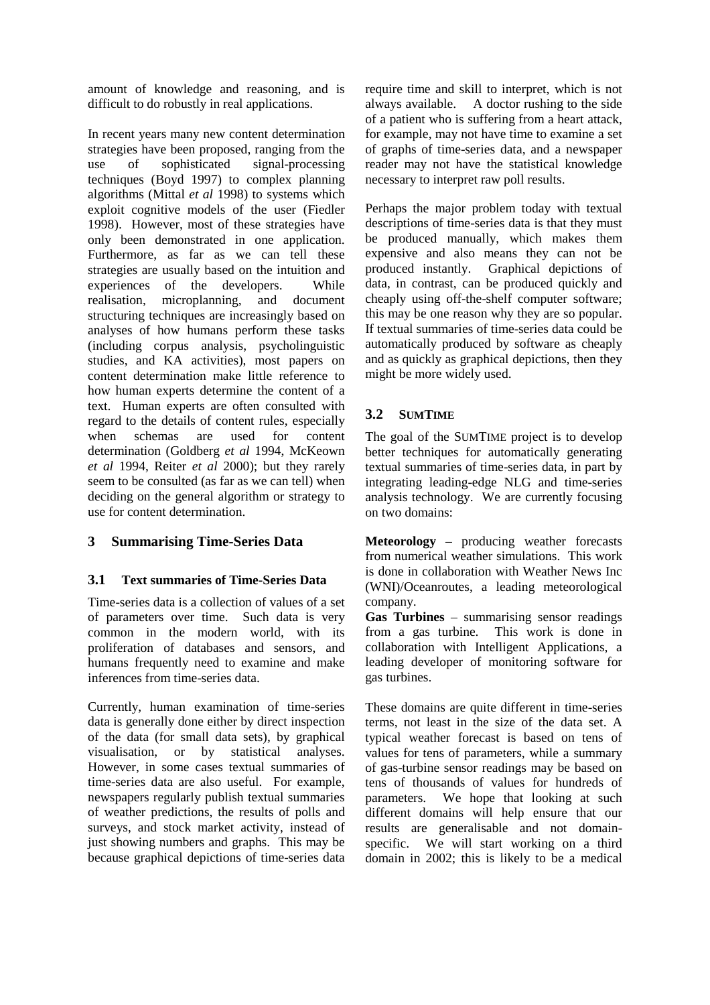amount of knowledge and reasoning, and is difficult to do robustly in real applications.

In recent years many new content determination strategies have been proposed, ranging from the use of sophisticated signal-processing techniques (Boyd 1997) to complex planning algorithms (Mittal *et al* 1998) to systems which exploit cognitive models of the user (Fiedler 1998). However, most of these strategies have only been demonstrated in one application. Furthermore, as far as we can tell these strategies are usually based on the intuition and experiences of the developers. While realisation, microplanning, and document structuring techniques are increasingly based on analyses of how humans perform these tasks (including corpus analysis, psycholinguistic studies, and KA activities), most papers on content determination make little reference to how human experts determine the content of a text. Human experts are often consulted with regard to the details of content rules, especially when schemas are used for content determination (Goldberg *et al* 1994, McKeown *et al* 1994, Reiter *et al* 2000); but they rarely seem to be consulted (as far as we can tell) when deciding on the general algorithm or strategy to use for content determination.

## **3 Summarising Time-Series Data**

### **3.1 Text summaries of Time-Series Data**

Time-series data is a collection of values of a set of parameters over time. Such data is very common in the modern world, with its proliferation of databases and sensors, and humans frequently need to examine and make inferences from time-series data.

Currently, human examination of time-series data is generally done either by direct inspection of the data (for small data sets), by graphical visualisation, or by statistical analyses. However, in some cases textual summaries of time-series data are also useful. For example, newspapers regularly publish textual summaries of weather predictions, the results of polls and surveys, and stock market activity, instead of just showing numbers and graphs. This may be because graphical depictions of time-series data require time and skill to interpret, which is not always available. A doctor rushing to the side of a patient who is suffering from a heart attack, for example, may not have time to examine a set of graphs of time-series data, and a newspaper reader may not have the statistical knowledge necessary to interpret raw poll results.

Perhaps the major problem today with textual descriptions of time-series data is that they must be produced manually, which makes them expensive and also means they can not be produced instantly. Graphical depictions of data, in contrast, can be produced quickly and cheaply using off-the-shelf computer software; this may be one reason why they are so popular. If textual summaries of time-series data could be automatically produced by software as cheaply and as quickly as graphical depictions, then they might be more widely used.

## **3.2 SUMTIME**

The goal of the SUMTIME project is to develop better techniques for automatically generating textual summaries of time-series data, in part by integrating leading-edge NLG and time-series analysis technology. We are currently focusing on two domains:

**Meteorology** – producing weather forecasts from numerical weather simulations. This work is done in collaboration with Weather News Inc (WNI)/Oceanroutes, a leading meteorological company.

**Gas Turbines** – summarising sensor readings from a gas turbine. This work is done in collaboration with Intelligent Applications, a leading developer of monitoring software for gas turbines.

These domains are quite different in time-series terms, not least in the size of the data set. A typical weather forecast is based on tens of values for tens of parameters, while a summary of gas-turbine sensor readings may be based on tens of thousands of values for hundreds of parameters. We hope that looking at such different domains will help ensure that our results are generalisable and not domainspecific. We will start working on a third domain in 2002; this is likely to be a medical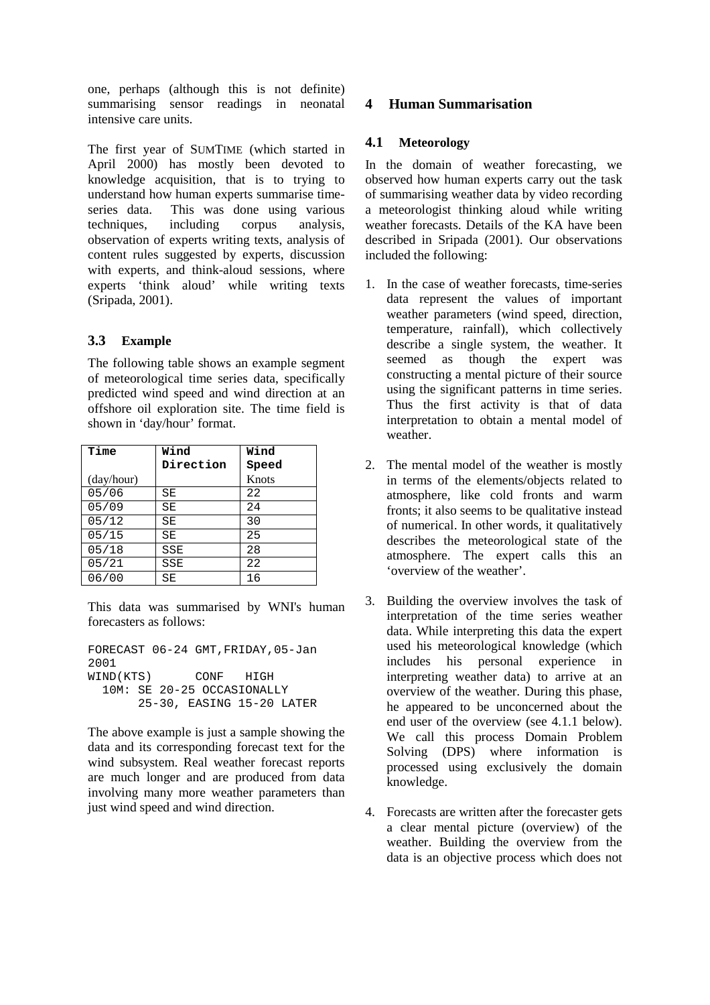one, perhaps (although this is not definite) summarising sensor readings in neonatal intensive care units.

The first year of SUMTIME (which started in April 2000) has mostly been devoted to knowledge acquisition, that is to trying to understand how human experts summarise timeseries data. This was done using various techniques, including corpus analysis, observation of experts writing texts, analysis of content rules suggested by experts, discussion with experts, and think-aloud sessions, where experts 'think aloud' while writing texts (Sripada, 2001).

## **3.3 Example**

The following table shows an example segment of meteorological time series data, specifically predicted wind speed and wind direction at an offshore oil exploration site. The time field is shown in 'day/hour' format.

| Time       | Wind      | Wind  |
|------------|-----------|-------|
|            | Direction | Speed |
| (day/hour) |           | Knots |
| 05/06      | SΕ        | 22    |
| 05/09      | SΕ        | 24    |
| 05/12      | SΕ        | 30    |
| 05/15      | SE        | 25    |
| 05/18      | SSE       | 28    |
| 05/21      | SSE       | 22    |
| 06/00      | SΕ        | 16    |

This data was summarised by WNI's human forecasters as follows:

FORECAST 06-24 GMT,FRIDAY,05-Jan 2001 WIND(KTS) CONF HIGH 10M: SE 20-25 OCCASIONALLY 25-30, EASING 15-20 LATER

The above example is just a sample showing the data and its corresponding forecast text for the wind subsystem. Real weather forecast reports are much longer and are produced from data involving many more weather parameters than just wind speed and wind direction.

## **4 Human Summarisation**

## **4.1 Meteorology**

In the domain of weather forecasting, we observed how human experts carry out the task of summarising weather data by video recording a meteorologist thinking aloud while writing weather forecasts. Details of the KA have been described in Sripada (2001). Our observations included the following:

- 1. In the case of weather forecasts, time-series data represent the values of important weather parameters (wind speed, direction, temperature, rainfall), which collectively describe a single system, the weather. It seemed as though the expert was constructing a mental picture of their source using the significant patterns in time series. Thus the first activity is that of data interpretation to obtain a mental model of weather.
- 2. The mental model of the weather is mostly in terms of the elements/objects related to atmosphere, like cold fronts and warm fronts; it also seems to be qualitative instead of numerical. In other words, it qualitatively describes the meteorological state of the atmosphere. The expert calls this an 'overview of the weather'.
- 3. Building the overview involves the task of interpretation of the time series weather data. While interpreting this data the expert used his meteorological knowledge (which includes his personal experience in interpreting weather data) to arrive at an overview of the weather. During this phase, he appeared to be unconcerned about the end user of the overview (see 4.1.1 below). We call this process Domain Problem Solving (DPS) where information is processed using exclusively the domain knowledge.
- 4. Forecasts are written after the forecaster gets a clear mental picture (overview) of the weather. Building the overview from the data is an objective process which does not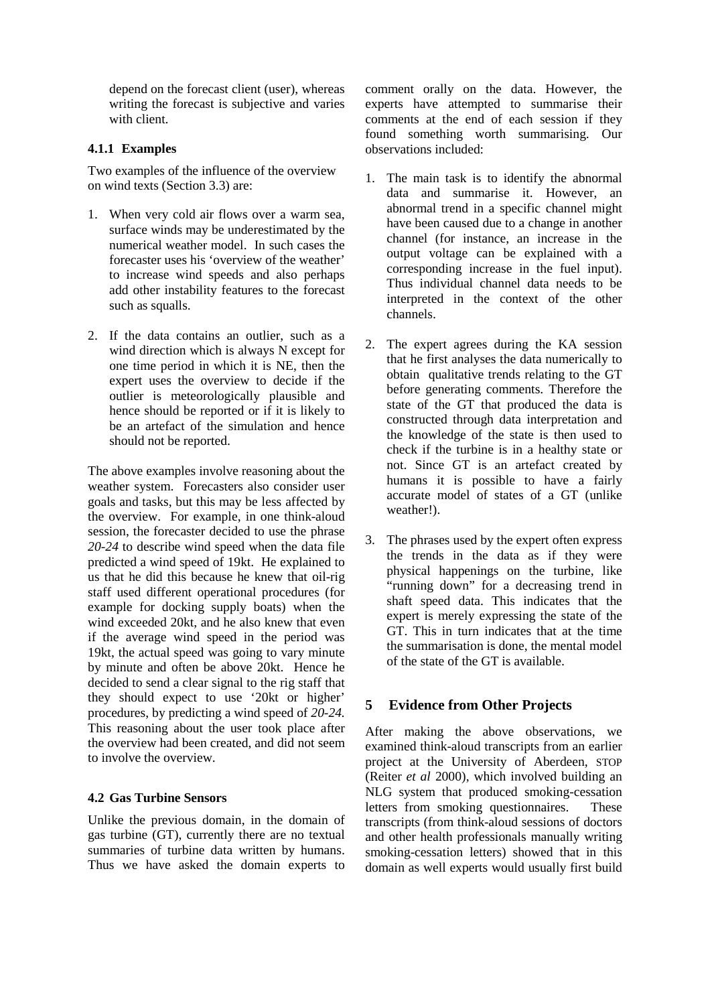depend on the forecast client (user), whereas writing the forecast is subjective and varies with client.

### **4.1.1 Examples**

Two examples of the influence of the overview on wind texts (Section 3.3) are:

- 1. When very cold air flows over a warm sea, surface winds may be underestimated by the numerical weather model. In such cases the forecaster uses his 'overview of the weather' to increase wind speeds and also perhaps add other instability features to the forecast such as squalls.
- 2. If the data contains an outlier, such as a wind direction which is always N except for one time period in which it is NE, then the expert uses the overview to decide if the outlier is meteorologically plausible and hence should be reported or if it is likely to be an artefact of the simulation and hence should not be reported.

The above examples involve reasoning about the weather system. Forecasters also consider user goals and tasks, but this may be less affected by the overview. For example, in one think-aloud session, the forecaster decided to use the phrase *20-24* to describe wind speed when the data file predicted a wind speed of 19kt. He explained to us that he did this because he knew that oil-rig staff used different operational procedures (for example for docking supply boats) when the wind exceeded 20kt, and he also knew that even if the average wind speed in the period was 19kt, the actual speed was going to vary minute by minute and often be above 20kt. Hence he decided to send a clear signal to the rig staff that they should expect to use '20kt or higher' procedures, by predicting a wind speed of *20-24.* This reasoning about the user took place after the overview had been created, and did not seem to involve the overview.

### **4.2 Gas Turbine Sensors**

Unlike the previous domain, in the domain of gas turbine (GT), currently there are no textual summaries of turbine data written by humans. Thus we have asked the domain experts to comment orally on the data. However, the experts have attempted to summarise their comments at the end of each session if they found something worth summarising. Our observations included:

- 1. The main task is to identify the abnormal data and summarise it. However, an abnormal trend in a specific channel might have been caused due to a change in another channel (for instance, an increase in the output voltage can be explained with a corresponding increase in the fuel input). Thus individual channel data needs to be interpreted in the context of the other channels.
- 2. The expert agrees during the KA session that he first analyses the data numerically to obtain qualitative trends relating to the GT before generating comments. Therefore the state of the GT that produced the data is constructed through data interpretation and the knowledge of the state is then used to check if the turbine is in a healthy state or not. Since GT is an artefact created by humans it is possible to have a fairly accurate model of states of a GT (unlike weather!).
- 3. The phrases used by the expert often express the trends in the data as if they were physical happenings on the turbine, like "running down" for a decreasing trend in shaft speed data. This indicates that the expert is merely expressing the state of the GT. This in turn indicates that at the time the summarisation is done, the mental model of the state of the GT is available.

## **5 Evidence from Other Projects**

After making the above observations, we examined think-aloud transcripts from an earlier project at the University of Aberdeen, STOP (Reiter *et al* 2000), which involved building an NLG system that produced smoking-cessation letters from smoking questionnaires. These transcripts (from think-aloud sessions of doctors and other health professionals manually writing smoking-cessation letters) showed that in this domain as well experts would usually first build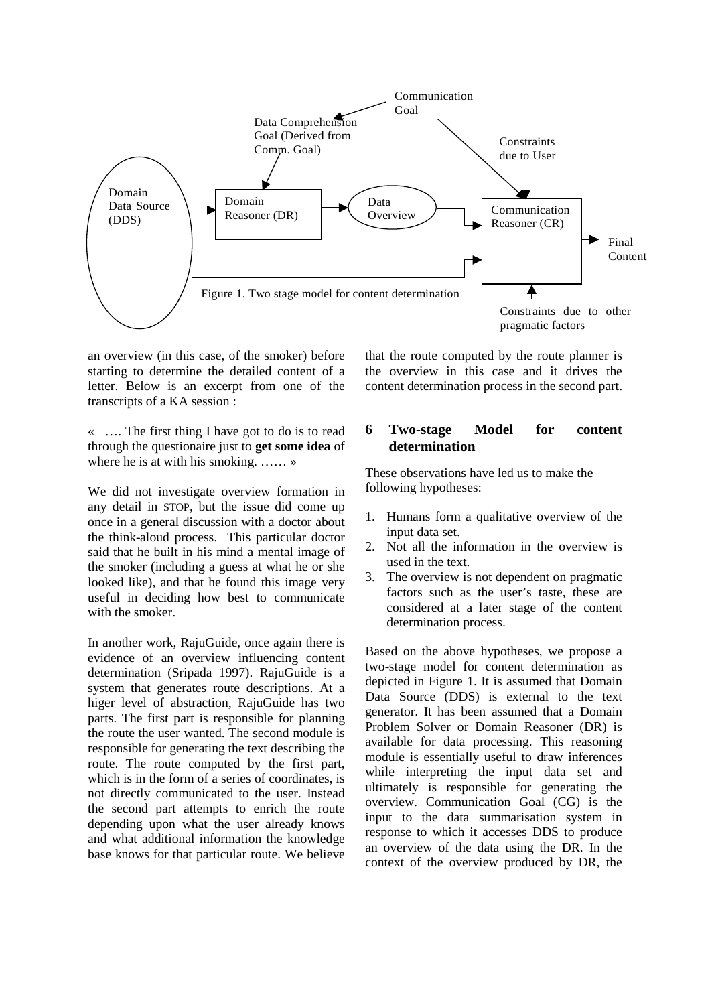

an overview (in this case, of the smoker) before starting to determine the detailed content of a letter. Below is an excerpt from one of the transcripts of a KA session :

« …. The first thing I have got to do is to read through the questionaire just to **get some idea** of where he is at with his smoking. …… »

We did not investigate overview formation in any detail in STOP, but the issue did come up once in a general discussion with a doctor about the think-aloud process. This particular doctor said that he built in his mind a mental image of the smoker (including a guess at what he or she looked like), and that he found this image very useful in deciding how best to communicate with the smoker.

In another work, RajuGuide, once again there is evidence of an overview influencing content determination (Sripada 1997). RajuGuide is a system that generates route descriptions. At a higer level of abstraction, RajuGuide has two parts. The first part is responsible for planning the route the user wanted. The second module is responsible for generating the text describing the route. The route computed by the first part, which is in the form of a series of coordinates, is not directly communicated to the user. Instead the second part attempts to enrich the route depending upon what the user already knows and what additional information the knowledge base knows for that particular route. We believe

that the route computed by the route planner is the overview in this case and it drives the content determination process in the second part.

### **6 Two-stage Model for content determination**

These observations have led us to make the following hypotheses:

- 1. Humans form a qualitative overview of the input data set.
- 2. Not all the information in the overview is used in the text.
- 3. The overview is not dependent on pragmatic factors such as the user's taste, these are considered at a later stage of the content determination process.

Based on the above hypotheses, we propose a two-stage model for content determination as depicted in Figure 1. It is assumed that Domain Data Source (DDS) is external to the text generator. It has been assumed that a Domain Problem Solver or Domain Reasoner (DR) is available for data processing. This reasoning module is essentially useful to draw inferences while interpreting the input data set and ultimately is responsible for generating the overview. Communication Goal (CG) is the input to the data summarisation system in response to which it accesses DDS to produce an overview of the data using the DR. In the context of the overview produced by DR, the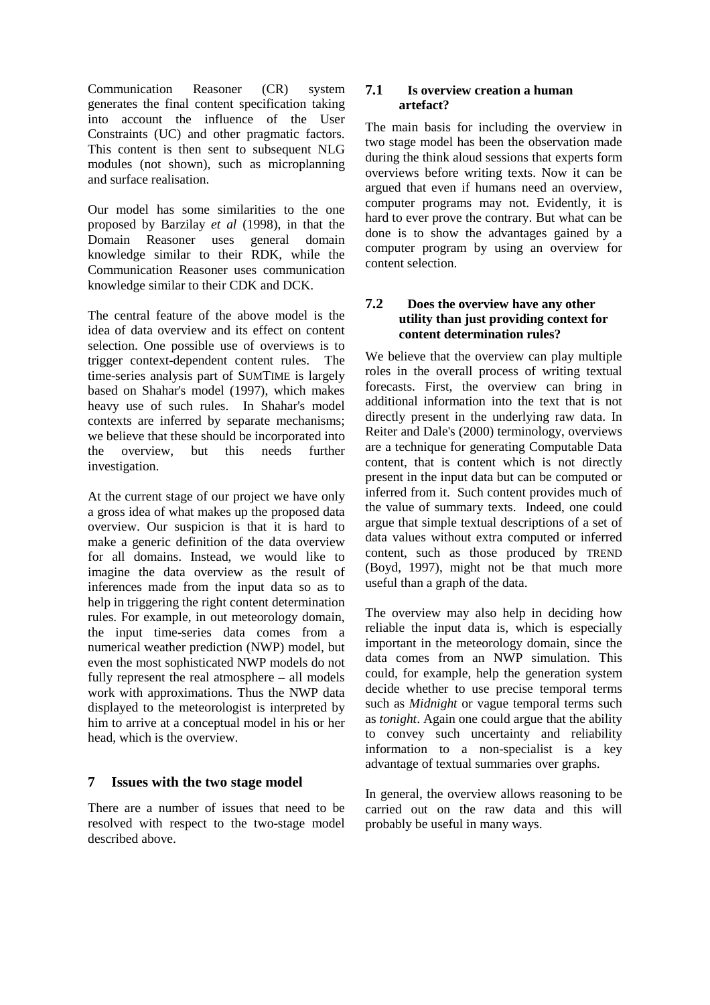Communication Reasoner (CR) system generates the final content specification taking into account the influence of the User Constraints (UC) and other pragmatic factors. This content is then sent to subsequent NLG modules (not shown), such as microplanning and surface realisation.

Our model has some similarities to the one proposed by Barzilay *et al* (1998), in that the Domain Reasoner uses general domain knowledge similar to their RDK, while the Communication Reasoner uses communication knowledge similar to their CDK and DCK.

The central feature of the above model is the idea of data overview and its effect on content selection. One possible use of overviews is to trigger context-dependent content rules. The time-series analysis part of SUMTIME is largely based on Shahar's model (1997), which makes heavy use of such rules. In Shahar's model contexts are inferred by separate mechanisms; we believe that these should be incorporated into the overview, but this needs further investigation.

At the current stage of our project we have only a gross idea of what makes up the proposed data overview. Our suspicion is that it is hard to make a generic definition of the data overview for all domains. Instead, we would like to imagine the data overview as the result of inferences made from the input data so as to help in triggering the right content determination rules. For example, in out meteorology domain, the input time-series data comes from a numerical weather prediction (NWP) model, but even the most sophisticated NWP models do not fully represent the real atmosphere – all models work with approximations. Thus the NWP data displayed to the meteorologist is interpreted by him to arrive at a conceptual model in his or her head, which is the overview.

### **7 Issues with the two stage model**

There are a number of issues that need to be resolved with respect to the two-stage model described above.

#### **7.1 Is overview creation a human artefact?**

The main basis for including the overview in two stage model has been the observation made during the think aloud sessions that experts form overviews before writing texts. Now it can be argued that even if humans need an overview, computer programs may not. Evidently, it is hard to ever prove the contrary. But what can be done is to show the advantages gained by a computer program by using an overview for content selection.

### **7.2 Does the overview have any other utility than just providing context for content determination rules?**

We believe that the overview can play multiple roles in the overall process of writing textual forecasts. First, the overview can bring in additional information into the text that is not directly present in the underlying raw data. In Reiter and Dale's (2000) terminology, overviews are a technique for generating Computable Data content, that is content which is not directly present in the input data but can be computed or inferred from it. Such content provides much of the value of summary texts. Indeed, one could argue that simple textual descriptions of a set of data values without extra computed or inferred content, such as those produced by TREND (Boyd, 1997), might not be that much more useful than a graph of the data.

The overview may also help in deciding how reliable the input data is, which is especially important in the meteorology domain, since the data comes from an NWP simulation. This could, for example, help the generation system decide whether to use precise temporal terms such as *Midnight* or vague temporal terms such as *tonight*. Again one could argue that the ability to convey such uncertainty and reliability information to a non-specialist is a key advantage of textual summaries over graphs.

In general, the overview allows reasoning to be carried out on the raw data and this will probably be useful in many ways.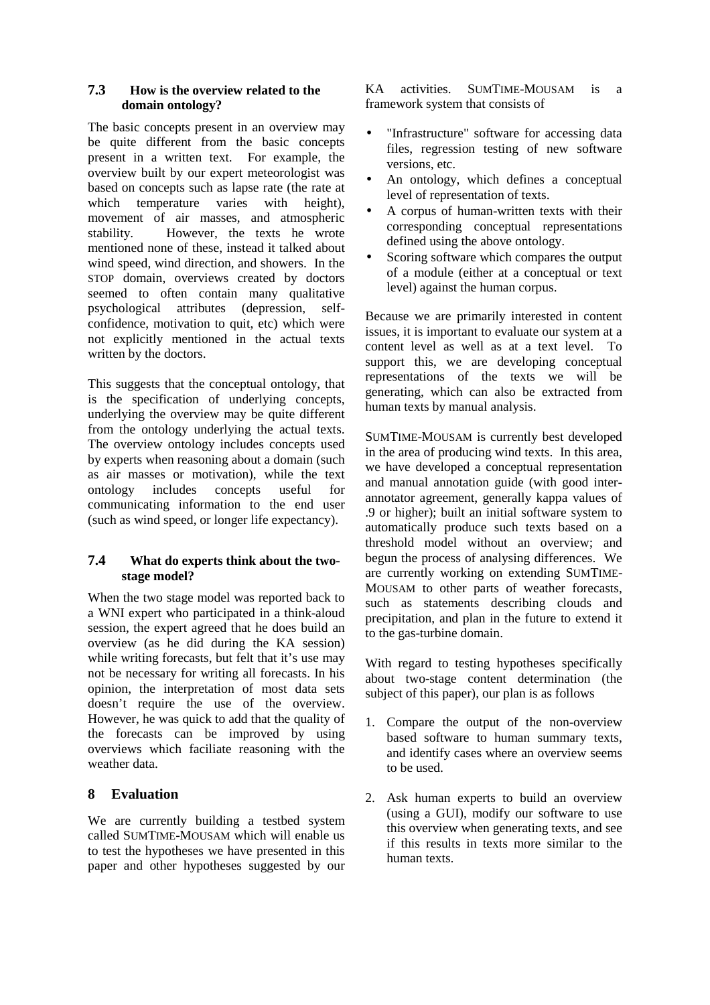### **7.3 How is the overview related to the domain ontology?**

The basic concepts present in an overview may be quite different from the basic concepts present in a written text. For example, the overview built by our expert meteorologist was based on concepts such as lapse rate (the rate at which temperature varies with height), movement of air masses, and atmospheric stability. However, the texts he wrote mentioned none of these, instead it talked about wind speed, wind direction, and showers. In the STOP domain, overviews created by doctors seemed to often contain many qualitative psychological attributes (depression, selfconfidence, motivation to quit, etc) which were not explicitly mentioned in the actual texts written by the doctors.

This suggests that the conceptual ontology, that is the specification of underlying concepts, underlying the overview may be quite different from the ontology underlying the actual texts. The overview ontology includes concepts used by experts when reasoning about a domain (such as air masses or motivation), while the text ontology includes concepts useful for communicating information to the end user (such as wind speed, or longer life expectancy).

### **7.4 What do experts think about the twostage model?**

When the two stage model was reported back to a WNI expert who participated in a think-aloud session, the expert agreed that he does build an overview (as he did during the KA session) while writing forecasts, but felt that it's use may not be necessary for writing all forecasts. In his opinion, the interpretation of most data sets doesn't require the use of the overview. However, he was quick to add that the quality of the forecasts can be improved by using overviews which faciliate reasoning with the weather data.

# **8 Evaluation**

We are currently building a testbed system called SUMTIME-MOUSAM which will enable us to test the hypotheses we have presented in this paper and other hypotheses suggested by our KA activities. SUMTIME-MOUSAM is a framework system that consists of

- "Infrastructure" software for accessing data files, regression testing of new software versions, etc.
- An ontology, which defines a conceptual level of representation of texts.
- A corpus of human-written texts with their corresponding conceptual representations defined using the above ontology.
- Scoring software which compares the output of a module (either at a conceptual or text level) against the human corpus.

Because we are primarily interested in content issues, it is important to evaluate our system at a content level as well as at a text level. To support this, we are developing conceptual representations of the texts we will be generating, which can also be extracted from human texts by manual analysis.

SUMTIME-MOUSAM is currently best developed in the area of producing wind texts. In this area, we have developed a conceptual representation and manual annotation guide (with good interannotator agreement, generally kappa values of .9 or higher); built an initial software system to automatically produce such texts based on a threshold model without an overview; and begun the process of analysing differences. We are currently working on extending SUMTIME-MOUSAM to other parts of weather forecasts, such as statements describing clouds and precipitation, and plan in the future to extend it to the gas-turbine domain.

With regard to testing hypotheses specifically about two-stage content determination (the subject of this paper), our plan is as follows

- 1. Compare the output of the non-overview based software to human summary texts, and identify cases where an overview seems to be used.
- 2. Ask human experts to build an overview (using a GUI), modify our software to use this overview when generating texts, and see if this results in texts more similar to the human texts.